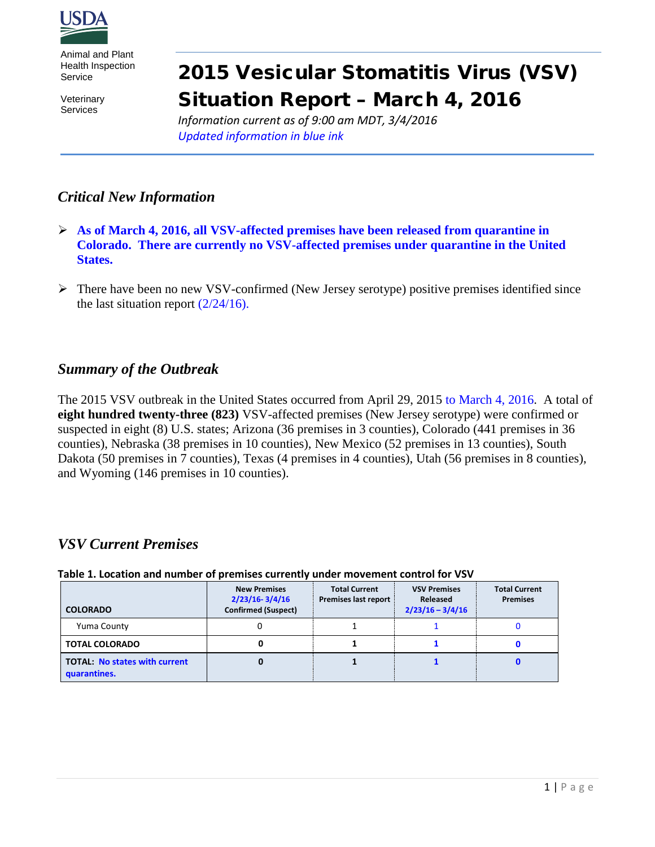

Animal and Plant Health Inspection Service

**Veterinary** Services

# 2015 Vesicular Stomatitis Virus (VSV) Situation Report – March 4, 2016

*Information current as of 9:00 am MDT, 3/4/2016 Updated information in blue ink*

## *Critical New Information*

- **As of March 4, 2016, all VSV-affected premises have been released from quarantine in Colorado. There are currently no VSV-affected premises under quarantine in the United States.**
- $\triangleright$  There have been no new VSV-confirmed (New Jersey serotype) positive premises identified since the last situation report  $\left(\frac{2}{24}{16}\right)$ .

## *Summary of the Outbreak*

The 2015 VSV outbreak in the United States occurred from April 29, 2015 to March 4, 2016. A total of **eight hundred twenty-three (823)** VSV-affected premises (New Jersey serotype) were confirmed or suspected in eight (8) U.S. states; Arizona (36 premises in 3 counties), Colorado (441 premises in 36 counties), Nebraska (38 premises in 10 counties), New Mexico (52 premises in 13 counties), South Dakota (50 premises in 7 counties), Texas (4 premises in 4 counties), Utah (56 premises in 8 counties), and Wyoming (146 premises in 10 counties).

## *VSV Current Premises*

| Table 1. Location and number of premises currently under movement control for v3v |                                                                         |                                              |                                                       |                                         |
|-----------------------------------------------------------------------------------|-------------------------------------------------------------------------|----------------------------------------------|-------------------------------------------------------|-----------------------------------------|
| <b>COLORADO</b>                                                                   | <b>New Premises</b><br>$2/23/16 - 3/4/16$<br><b>Confirmed (Suspect)</b> | <b>Total Current</b><br>Premises last report | <b>VSV Premises</b><br>Released<br>$2/23/16 - 3/4/16$ | <b>Total Current</b><br><b>Premises</b> |
| Yuma County                                                                       |                                                                         |                                              |                                                       |                                         |
| <b>TOTAL COLORADO</b>                                                             |                                                                         |                                              |                                                       |                                         |
| <b>TOTAL: No states with current</b><br>quarantines.                              |                                                                         |                                              |                                                       |                                         |

#### **Table 1. Location and number of premises currently under movement control for VSV**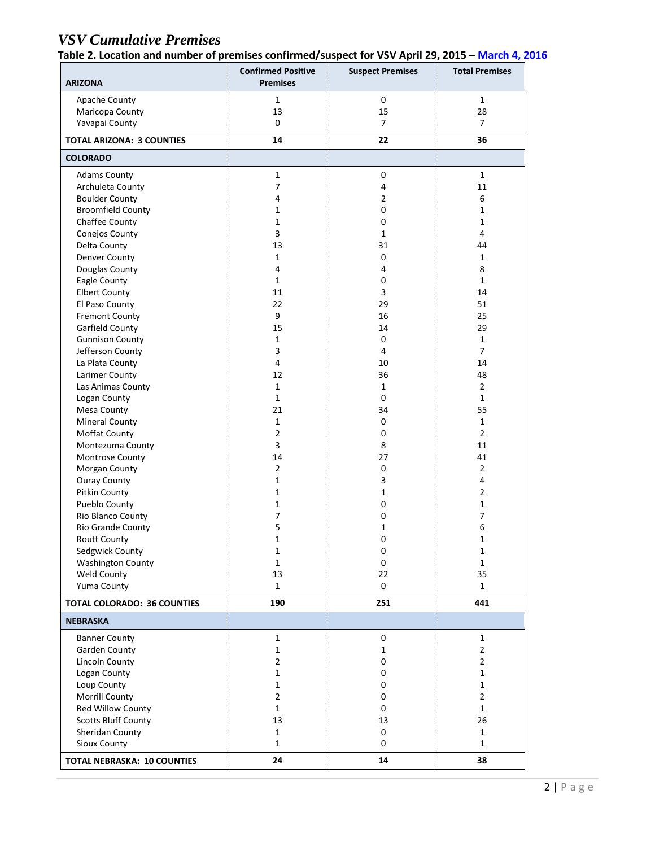# *VSV Cumulative Premises*

**Table 2. Location and number of premises confirmed/suspect for VSV April 29, 2015 – March 4, 2016**

| <b>ARIZONA</b>                     | <b>Confirmed Positive</b><br><b>Premises</b> | <b>Suspect Premises</b> | <b>Total Premises</b> |
|------------------------------------|----------------------------------------------|-------------------------|-----------------------|
| Apache County                      | 1                                            | $\mathbf 0$             | $\mathbf{1}$          |
| Maricopa County                    | 13                                           | 15                      | 28                    |
| Yavapai County                     | 0                                            | $\overline{7}$          | 7                     |
| <b>TOTAL ARIZONA: 3 COUNTIES</b>   | 14                                           | 22                      | 36                    |
| <b>COLORADO</b>                    |                                              |                         |                       |
| <b>Adams County</b>                | $\mathbf{1}$                                 | $\mathbf 0$             | $\mathbf{1}$          |
| Archuleta County                   | 7                                            | $\overline{4}$          | 11                    |
| <b>Boulder County</b>              | 4                                            | $\overline{2}$          | 6                     |
| <b>Broomfield County</b>           | $\mathbf{1}$                                 | 0                       | $\mathbf{1}$          |
| Chaffee County                     | $\mathbf{1}$                                 | $\mathbf 0$             | $\mathbf{1}$          |
| Conejos County                     | 3                                            | $\mathbf{1}$            | 4                     |
| Delta County                       | 13                                           | 31                      | 44                    |
| Denver County                      | $\mathbf{1}$                                 | $\mathbf 0$             | $\mathbf{1}$          |
| Douglas County                     | 4                                            | $\overline{4}$          | 8                     |
| Eagle County                       | $\mathbf{1}$                                 | 0                       | $\mathbf{1}$          |
| <b>Elbert County</b>               | 11                                           | 3                       | 14                    |
| El Paso County                     | 22                                           | 29                      | 51                    |
| <b>Fremont County</b>              | 9                                            | 16                      | 25                    |
| Garfield County                    | 15                                           | 14                      | 29                    |
| <b>Gunnison County</b>             | $\mathbf{1}$                                 | $\mathbf 0$             | $\mathbf{1}$          |
| Jefferson County                   | 3                                            | 4                       | $\overline{7}$        |
| La Plata County                    | 4                                            | 10                      | 14                    |
| Larimer County                     | 12                                           | 36                      | 48                    |
| Las Animas County                  | $\mathbf{1}$                                 | $\mathbf{1}$            | $\overline{2}$        |
| Logan County                       | $\mathbf{1}$                                 | $\mathbf 0$             | $\mathbf{1}$          |
| Mesa County                        | 21                                           | 34                      | 55                    |
| <b>Mineral County</b>              | $\mathbf{1}$                                 | 0                       | $\mathbf{1}$          |
| Moffat County                      | $\overline{2}$                               | $\mathbf 0$             | $\overline{2}$        |
| Montezuma County                   | 3                                            | 8                       | 11                    |
| Montrose County                    | 14                                           | 27                      | 41                    |
| Morgan County                      | $\overline{2}$                               | $\mathbf 0$             | $\overline{2}$        |
| <b>Ouray County</b>                | $\mathbf{1}$                                 | 3                       | 4                     |
| Pitkin County                      | $\mathbf{1}$                                 | $\mathbf{1}$            | $\overline{2}$        |
| Pueblo County                      | $\mathbf{1}$                                 | 0                       | $\mathbf{1}$          |
| Rio Blanco County                  | 7                                            | 0                       | 7                     |
| Rio Grande County                  | 5                                            | 1                       | 6                     |
| <b>Routt County</b>                | $\mathbf{1}$                                 | 0                       | $\mathbf{1}$          |
| Sedgwick County                    | $\mathbf 1$                                  | 0                       | $\mathbf 1$           |
| <b>Washington County</b>           | $\mathbf{1}$                                 | 0                       | $\mathbf{1}$          |
| Weld County                        | 13                                           | 22                      | 35                    |
| Yuma County                        | $\mathbf{1}$                                 | $\mathbf 0$             | $\mathbf{1}$          |
| <b>TOTAL COLORADO: 36 COUNTIES</b> | 190                                          | 251                     | 441                   |
| <b>NEBRASKA</b>                    |                                              |                         |                       |
| <b>Banner County</b>               | $\mathbf{1}$                                 | $\mathbf 0$             | $\mathbf{1}$          |
| Garden County                      | $\mathbf{1}$                                 | $\mathbf{1}$            | $\overline{2}$        |
| <b>Lincoln County</b>              | $\overline{2}$                               | 0                       | $\overline{2}$        |
| Logan County                       | $\mathbf{1}$                                 | 0                       | $\mathbf{1}$          |
| Loup County                        | $\mathbf{1}$                                 | 0                       | $\mathbf{1}$          |
| Morrill County                     | $\overline{2}$                               | 0                       | $\overline{2}$        |
| Red Willow County                  | $\mathbf{1}$                                 | $\mathbf 0$             | $\mathbf{1}$          |
| <b>Scotts Bluff County</b>         | 13                                           | 13                      | 26                    |
| Sheridan County                    | $\mathbf{1}$                                 | $\mathbf 0$             | $\mathbf{1}$          |
| Sioux County                       | $\mathbf{1}$                                 | 0                       | $\mathbf{1}$          |
| <b>TOTAL NEBRASKA: 10 COUNTIES</b> | 24                                           | 14                      | 38                    |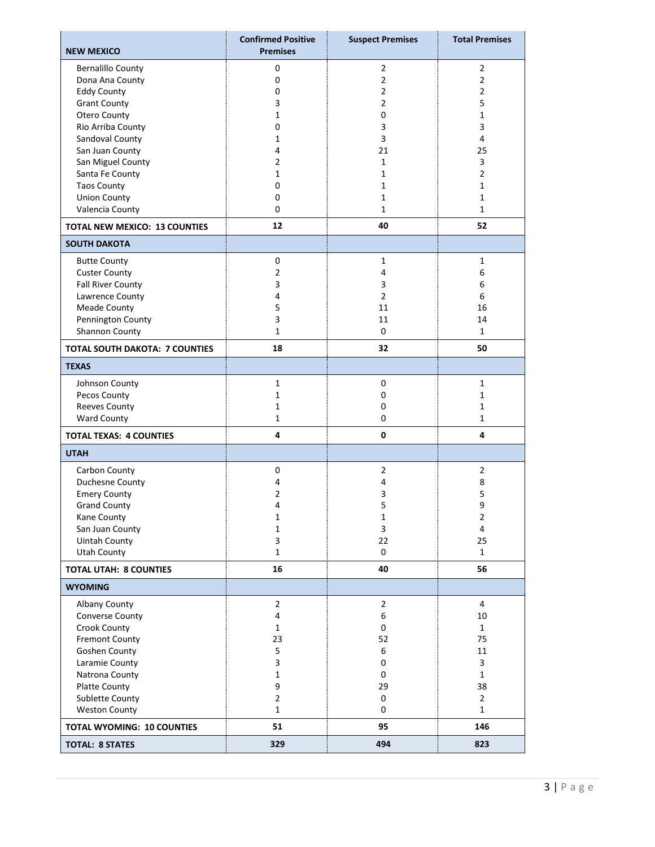| <b>NEW MEXICO</b>                     | <b>Confirmed Positive</b><br><b>Premises</b> | <b>Suspect Premises</b> | <b>Total Premises</b> |
|---------------------------------------|----------------------------------------------|-------------------------|-----------------------|
| <b>Bernalillo County</b>              | 0                                            | $\overline{2}$          | $\overline{2}$        |
| Dona Ana County                       | $\mathbf 0$                                  | $\overline{2}$          | $\overline{2}$        |
| <b>Eddy County</b>                    | 0                                            | $\overline{2}$          | 2                     |
| <b>Grant County</b>                   | 3                                            | $\overline{2}$          | 5                     |
| Otero County                          | 1                                            | 0                       | 1                     |
| Rio Arriba County                     | 0                                            | 3                       | 3                     |
| Sandoval County                       | $\mathbf{1}$                                 | 3                       | 4                     |
| San Juan County                       | 4                                            | 21                      | 25                    |
| San Miguel County                     | $\overline{2}$                               | $\mathbf{1}$            | 3                     |
| Santa Fe County                       | 1                                            | $\mathbf{1}$            | $\overline{2}$        |
| <b>Taos County</b>                    | 0                                            | 1                       | 1                     |
| <b>Union County</b>                   | 0                                            | $\mathbf{1}$            | 1                     |
| Valencia County                       | 0                                            | $\mathbf{1}$            | $\mathbf{1}$          |
| <b>TOTAL NEW MEXICO: 13 COUNTIES</b>  | 12                                           | 40                      | 52                    |
| <b>SOUTH DAKOTA</b>                   |                                              |                         |                       |
| <b>Butte County</b>                   | $\mathbf 0$                                  | $\mathbf{1}$            | 1                     |
| <b>Custer County</b>                  | $\overline{2}$                               | 4                       | 6                     |
| <b>Fall River County</b>              | 3                                            | 3                       | 6                     |
| Lawrence County                       | 4                                            | $\overline{2}$          | 6                     |
| <b>Meade County</b>                   | 5                                            | 11                      | 16                    |
| Pennington County                     | 3                                            | 11                      | 14                    |
| Shannon County                        | $\mathbf{1}$                                 | 0                       | $\mathbf{1}$          |
| <b>TOTAL SOUTH DAKOTA: 7 COUNTIES</b> | 18                                           | 32                      | 50                    |
| <b>TEXAS</b>                          |                                              |                         |                       |
| Johnson County                        | $\mathbf{1}$                                 | $\mathbf 0$             | $\mathbf{1}$          |
| Pecos County                          | 1                                            | 0                       | 1                     |
| <b>Reeves County</b>                  | 1                                            | 0                       | 1                     |
| <b>Ward County</b>                    | $\mathbf{1}$                                 | 0                       | $\mathbf 1$           |
| <b>TOTAL TEXAS: 4 COUNTIES</b>        | 4                                            | $\mathbf{0}$            | 4                     |
| <b>UTAH</b>                           |                                              |                         |                       |
| Carbon County                         | 0                                            | $\overline{2}$          | $\overline{2}$        |
| Duchesne County                       | 4                                            | 4                       | 8                     |
| <b>Emery County</b>                   | $\overline{2}$                               | 3                       | 5                     |
| <b>Grand County</b>                   | 4                                            | 5                       | 9                     |
| Kane County                           | $\mathbf 1$                                  | $\mathbf 1$             | $\overline{2}$        |
| San Juan County                       | $\mathbf{1}$                                 | 3                       | $\overline{4}$        |
| <b>Uintah County</b>                  | 3                                            | 22                      | 25                    |
| <b>Utah County</b>                    | $\mathbf{1}$                                 | 0                       | $\mathbf{1}$          |
| <b>TOTAL UTAH: 8 COUNTIES</b>         | 16                                           | 40                      | 56                    |
| <b>WYOMING</b>                        |                                              |                         |                       |
| Albany County                         | $\overline{2}$                               | $\overline{2}$          | $\overline{4}$        |
| Converse County                       | 4                                            | 6                       | 10                    |
| Crook County                          | $\mathbf{1}$                                 | 0                       | $\mathbf{1}$          |
| <b>Fremont County</b>                 | 23                                           | 52                      | 75                    |
| Goshen County                         | 5                                            | 6                       | 11                    |
| Laramie County                        | 3                                            | 0                       | 3                     |
| Natrona County                        | $\mathbf{1}$                                 | 0                       | $\mathbf{1}$          |
| Platte County                         | 9                                            | 29                      | 38                    |
| Sublette County                       | $\overline{2}$                               | 0                       | $\overline{2}$        |
| <b>Weston County</b>                  | $\mathbf{1}$                                 | 0                       | $\mathbf{1}$          |
| <b>TOTAL WYOMING: 10 COUNTIES</b>     | 51                                           | 95                      | 146                   |
| <b>TOTAL: 8 STATES</b>                | 329                                          | 494                     | 823                   |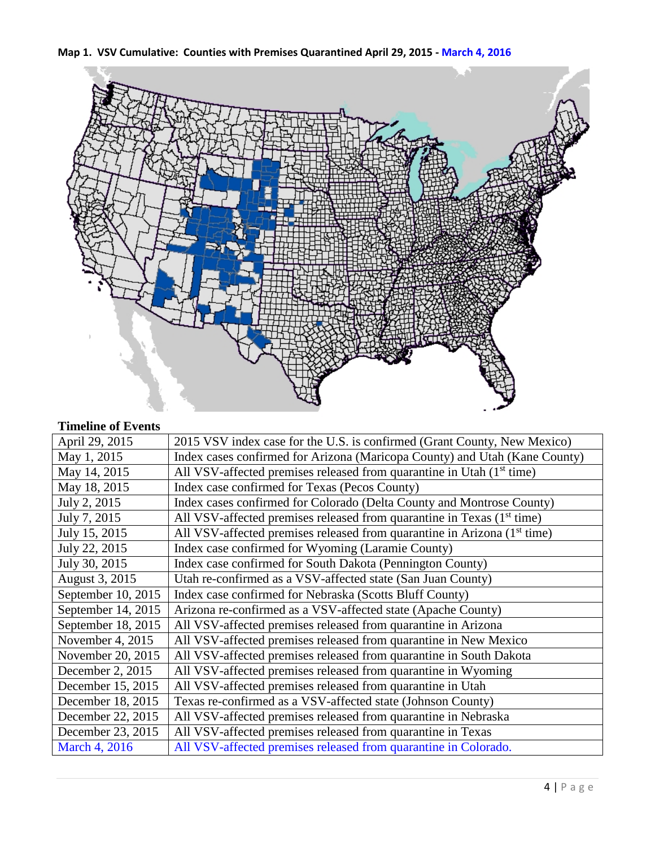



## **Timeline of Events**

| April 29, 2015     | 2015 VSV index case for the U.S. is confirmed (Grant County, New Mexico)             |
|--------------------|--------------------------------------------------------------------------------------|
| May 1, 2015        | Index cases confirmed for Arizona (Maricopa County) and Utah (Kane County)           |
| May 14, 2015       | All VSV-affected premises released from quarantine in Utah $(1st$ time)              |
| May 18, 2015       | Index case confirmed for Texas (Pecos County)                                        |
| July 2, 2015       | Index cases confirmed for Colorado (Delta County and Montrose County)                |
| July 7, 2015       | All VSV-affected premises released from quarantine in Texas (1 <sup>st</sup> time)   |
| July 15, 2015      | All VSV-affected premises released from quarantine in Arizona (1 <sup>st</sup> time) |
| July 22, 2015      | Index case confirmed for Wyoming (Laramie County)                                    |
| July 30, 2015      | Index case confirmed for South Dakota (Pennington County)                            |
| August 3, 2015     | Utah re-confirmed as a VSV-affected state (San Juan County)                          |
| September 10, 2015 | Index case confirmed for Nebraska (Scotts Bluff County)                              |
| September 14, 2015 | Arizona re-confirmed as a VSV-affected state (Apache County)                         |
| September 18, 2015 | All VSV-affected premises released from quarantine in Arizona                        |
| November 4, $2015$ | All VSV-affected premises released from quarantine in New Mexico                     |
| November 20, 2015  | All VSV-affected premises released from quarantine in South Dakota                   |
| December 2, 2015   | All VSV-affected premises released from quarantine in Wyoming                        |
| December 15, 2015  | All VSV-affected premises released from quarantine in Utah                           |
| December 18, 2015  | Texas re-confirmed as a VSV-affected state (Johnson County)                          |
| December 22, 2015  | All VSV-affected premises released from quarantine in Nebraska                       |
| December 23, 2015  | All VSV-affected premises released from quarantine in Texas                          |
| March 4, 2016      | All VSV-affected premises released from quarantine in Colorado.                      |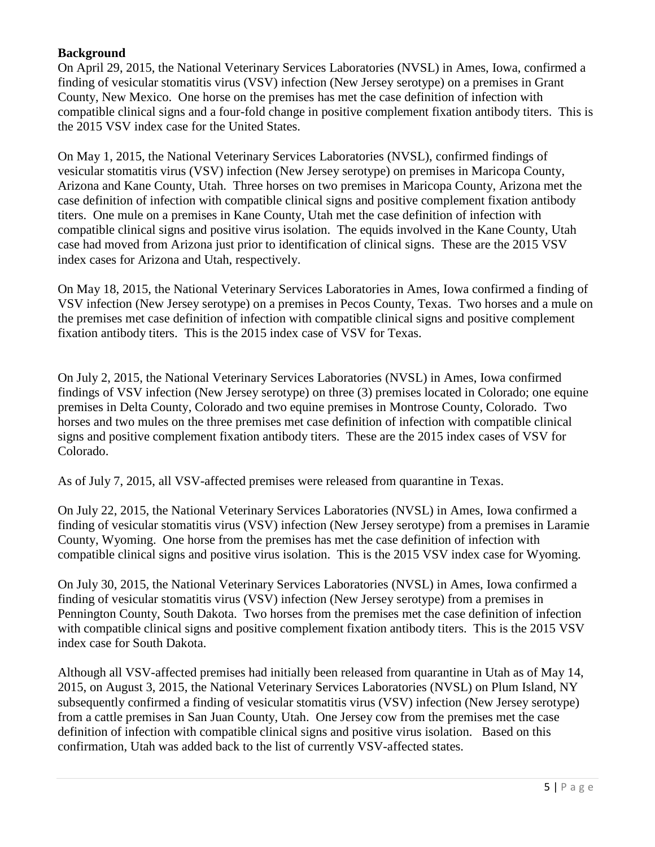### **Background**

On April 29, 2015, the National Veterinary Services Laboratories (NVSL) in Ames, Iowa, confirmed a finding of vesicular stomatitis virus (VSV) infection (New Jersey serotype) on a premises in Grant County, New Mexico. One horse on the premises has met the case definition of infection with compatible clinical signs and a four-fold change in positive complement fixation antibody titers. This is the 2015 VSV index case for the United States.

On May 1, 2015, the National Veterinary Services Laboratories (NVSL), confirmed findings of vesicular stomatitis virus (VSV) infection (New Jersey serotype) on premises in Maricopa County, Arizona and Kane County, Utah. Three horses on two premises in Maricopa County, Arizona met the case definition of infection with compatible clinical signs and positive complement fixation antibody titers. One mule on a premises in Kane County, Utah met the case definition of infection with compatible clinical signs and positive virus isolation. The equids involved in the Kane County, Utah case had moved from Arizona just prior to identification of clinical signs. These are the 2015 VSV index cases for Arizona and Utah, respectively.

On May 18, 2015, the National Veterinary Services Laboratories in Ames, Iowa confirmed a finding of VSV infection (New Jersey serotype) on a premises in Pecos County, Texas. Two horses and a mule on the premises met case definition of infection with compatible clinical signs and positive complement fixation antibody titers. This is the 2015 index case of VSV for Texas.

On July 2, 2015, the National Veterinary Services Laboratories (NVSL) in Ames, Iowa confirmed findings of VSV infection (New Jersey serotype) on three (3) premises located in Colorado; one equine premises in Delta County, Colorado and two equine premises in Montrose County, Colorado. Two horses and two mules on the three premises met case definition of infection with compatible clinical signs and positive complement fixation antibody titers. These are the 2015 index cases of VSV for Colorado.

As of July 7, 2015, all VSV-affected premises were released from quarantine in Texas.

On July 22, 2015, the National Veterinary Services Laboratories (NVSL) in Ames, Iowa confirmed a finding of vesicular stomatitis virus (VSV) infection (New Jersey serotype) from a premises in Laramie County, Wyoming. One horse from the premises has met the case definition of infection with compatible clinical signs and positive virus isolation. This is the 2015 VSV index case for Wyoming.

On July 30, 2015, the National Veterinary Services Laboratories (NVSL) in Ames, Iowa confirmed a finding of vesicular stomatitis virus (VSV) infection (New Jersey serotype) from a premises in Pennington County, South Dakota. Two horses from the premises met the case definition of infection with compatible clinical signs and positive complement fixation antibody titers. This is the 2015 VSV index case for South Dakota.

Although all VSV-affected premises had initially been released from quarantine in Utah as of May 14, 2015, on August 3, 2015, the National Veterinary Services Laboratories (NVSL) on Plum Island, NY subsequently confirmed a finding of vesicular stomatitis virus (VSV) infection (New Jersey serotype) from a cattle premises in San Juan County, Utah. One Jersey cow from the premises met the case definition of infection with compatible clinical signs and positive virus isolation. Based on this confirmation, Utah was added back to the list of currently VSV-affected states.